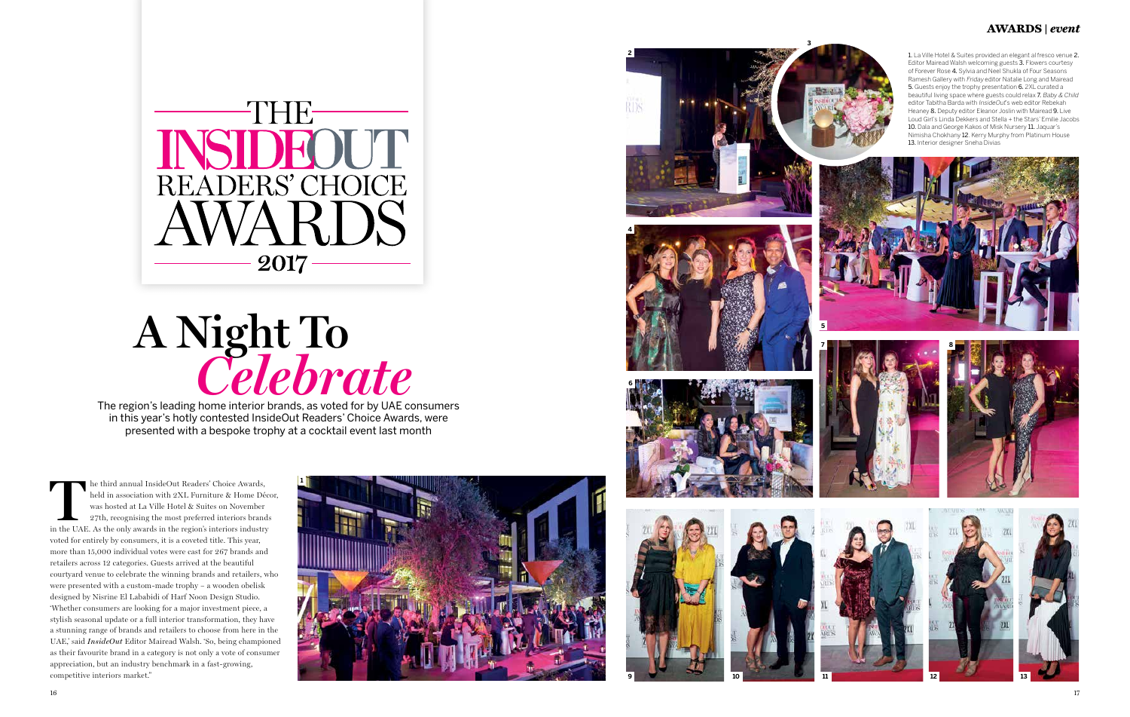

# **A Night To** *Celebrate*

The region's leading home interior brands, as voted for by UAE consumers in this year's hotly contested InsideOut Readers' Choice Awards, were presented with a bespoke trophy at a cocktail event last month

**The third annual InsideOut Readers' Choice Awards, held in association with 2XL Furniture & Home Découse was hosted at La Ville Hotel & Suites on November 27th, recognising the most preferred interiors brands in the UAE.** held in association with 2XL Furniture & Home Décor, was hosted at La Ville Hotel & Suites on November 27th, recognising the most preferred interiors brands voted for entirely by consumers, it is a coveted title. This year, more than 15,000 individual votes were cast for 267 brands and retailers across 12 categories. Guests arrived at the beautiful courtyard venue to celebrate the winning brands and retailers, who were presented with a custom-made trophy – a wooden obelisk designed by Nisrine El Lababidi of Harf Noon Design Studio. 'Whether consumers are looking for a major investment piece, a stylish seasonal update or a full interior transformation, they have a stunning range of brands and retailers to choose from here in the UAE,' said *InsideOut* Editor Mairead Walsh. 'So, being championed as their favourite brand in a category is not only a vote of consumer appreciation, but an industry benchmark in a fast-growing, competitive interiors market."



### **AWARDS |** *event*

1. La Ville Hotel & Suites provided an elegant al fresco venue 2. Editor Mairead Walsh welcoming guests 3. Flowers courtesy of Forever Rose 4. Sylvia and Neel Shukla of Four Seasons Ramesh Gallery with Friday editor Natalie Long and Mairead 5. Guests enjoy the trophy presentation 6. 2XL curated a beautiful living space where guests could relax 7. Baby & Child editor Tabitha Barda with InsideOut's web editor Rebekah Heaney 8. Deputy editor Eleanor Joslin with Mairead 9. Live Loud Girl's Linda Dekkers and Stella + the Stars' Emilie Jacobs 10. Dala and George Kakos of Misk Nursery 11. Jaquar's Nimisha Chokhany 12. Kerry Murphy from Platinum House 13. Interior designer Sneha Divias



















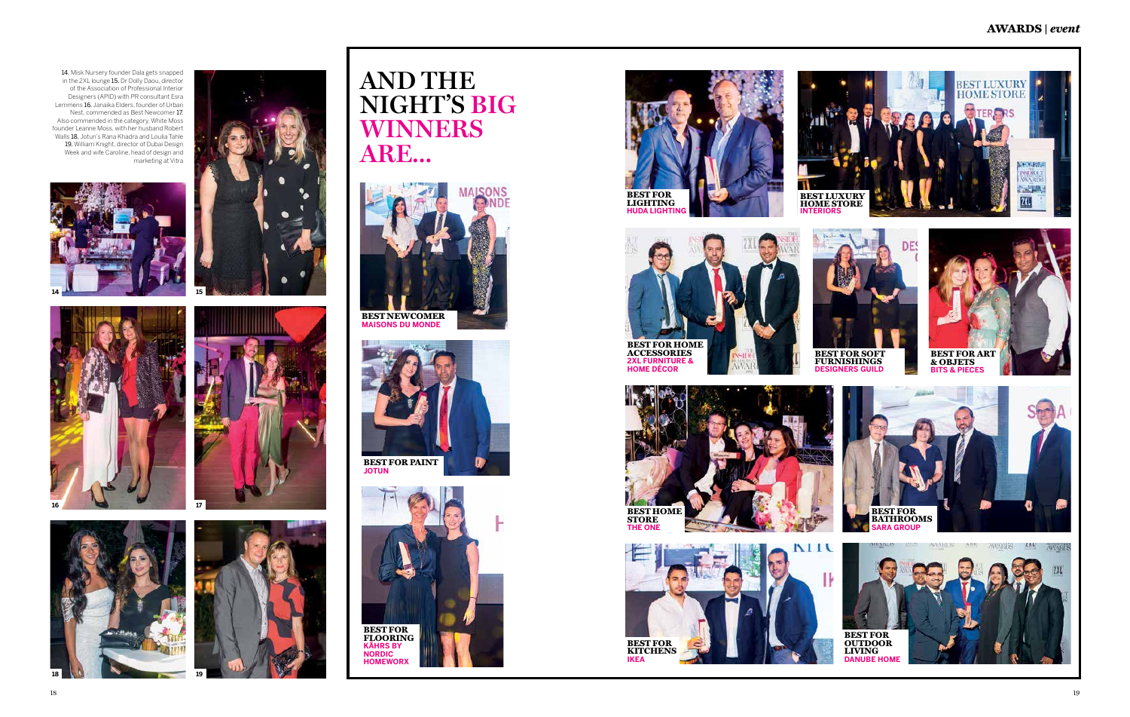



**MAISONS DU MONDE**













### **AWARDS |** *event*

14. Misk Nursery founder Dala gets snapped in the 2XL lounge 15. Dr Dolly Daou, director of the Association of Professional Interior Designers (APID) with PR consultant Esra Lemmens 16. Janaika Elders, founder of Urban Nest, commended as Best Newcomer 17. Also commended in the category, White Moss founder Leanne Moss, with her husband Robert Walls 18. Jotun's Rana Khadra and Loulia Tahle 19. William Knight, director of Dubai Design Week and wife Caroline, head of design and marketing at Vitra